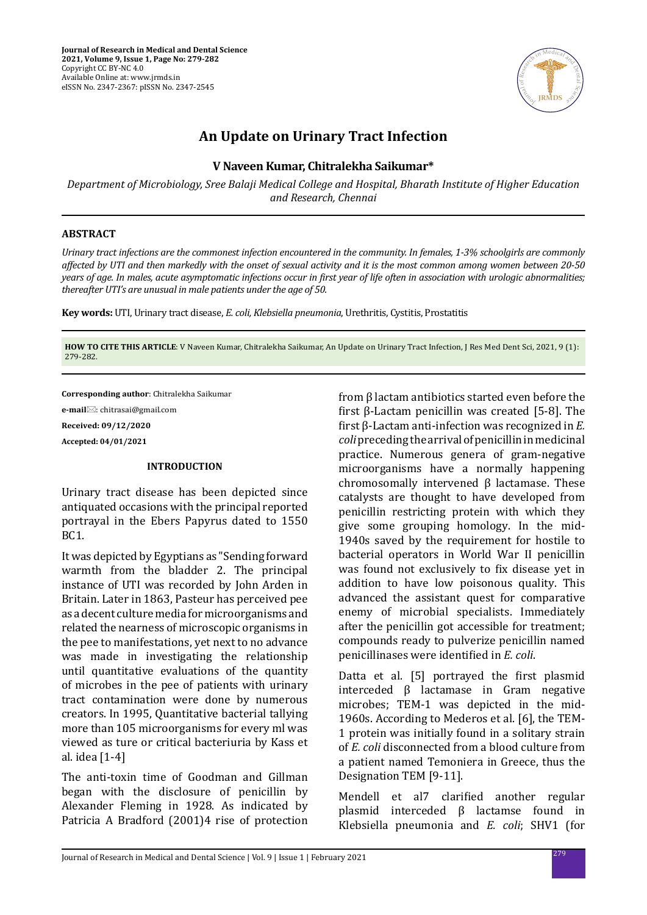

# **An Update on Urinary Tract Infection**

## **V Naveen Kumar, Chitralekha Saikumar\***

*Department of Microbiology, Sree Balaji Medical College and Hospital, Bharath Institute of Higher Education and Research, Chennai*

#### **ABSTRACT**

*Urinary tract infections are the commonest infection encountered in the community. In females, 1-3% schoolgirls are commonly affected by UTI and then markedly with the onset of sexual activity and it is the most common among women between 20-50 years of age. In males, acute asymptomatic infections occur in first year of life often in association with urologic abnormalities; thereafter UTI's are unusual in male patients under the age of 50.*

**Key words:** UTI, Urinary tract disease, *E. coli, Klebsiella pneumonia*, Urethritis, Cystitis, Prostatitis

**HOW TO CITE THIS ARTICLE**: V Naveen Kumar, Chitralekha Saikumar, An Update on Urinary Tract Infection, J Res Med Dent Sci, 2021, 9 (1): 279-282.

**Corresponding author**: Chitralekha Saikumar

**e-mail**⊠: chitrasai@gmail.com **Received: 09/12/2020 Accepted: 04/01/2021**

### **INTRODUCTION**

Urinary tract disease has been depicted since antiquated occasions with the principal reported portrayal in the Ebers Papyrus dated to 1550 BC1.

It was depicted by Egyptians as "Sending forward warmth from the bladder 2. The principal instance of UTI was recorded by John Arden in Britain. Later in 1863, Pasteur has perceived pee as a decent culture media for microorganisms and related the nearness of microscopic organisms in the pee to manifestations, yet next to no advance was made in investigating the relationship until quantitative evaluations of the quantity of microbes in the pee of patients with urinary tract contamination were done by numerous creators. In 1995, Quantitative bacterial tallying more than 105 microorganisms for every ml was viewed as ture or critical bacteriuria by Kass et al. idea [1-4]

The anti-toxin time of Goodman and Gillman began with the disclosure of penicillin by Alexander Fleming in 1928. As indicated by Patricia A Bradford (2001)4 rise of protection from β lactam antibiotics started even before the first β-Lactam penicillin was created [5-8]. The first β-Lactam anti-infection was recognized in *E. coli* preceding the arrival of penicillin in medicinal practice. Numerous genera of gram-negative microorganisms have a normally happening chromosomally intervened β lactamase. These catalysts are thought to have developed from penicillin restricting protein with which they give some grouping homology. In the mid-1940s saved by the requirement for hostile to bacterial operators in World War II penicillin was found not exclusively to fix disease yet in addition to have low poisonous quality. This advanced the assistant quest for comparative enemy of microbial specialists. Immediately after the penicillin got accessible for treatment; compounds ready to pulverize penicillin named penicillinases were identified in *E. coli*.

Datta et al. [5] portrayed the first plasmid interceded β lactamase in Gram negative microbes; TEM-1 was depicted in the mid-1960s. According to Mederos et al. [6], the TEM-1 protein was initially found in a solitary strain of *E. coli* disconnected from a blood culture from a patient named Temoniera in Greece, thus the Designation TEM [9-11].

Mendell et al7 clarified another regular plasmid interceded β lactamse found in Klebsiella pneumonia and *E. coli*; SHV1 (for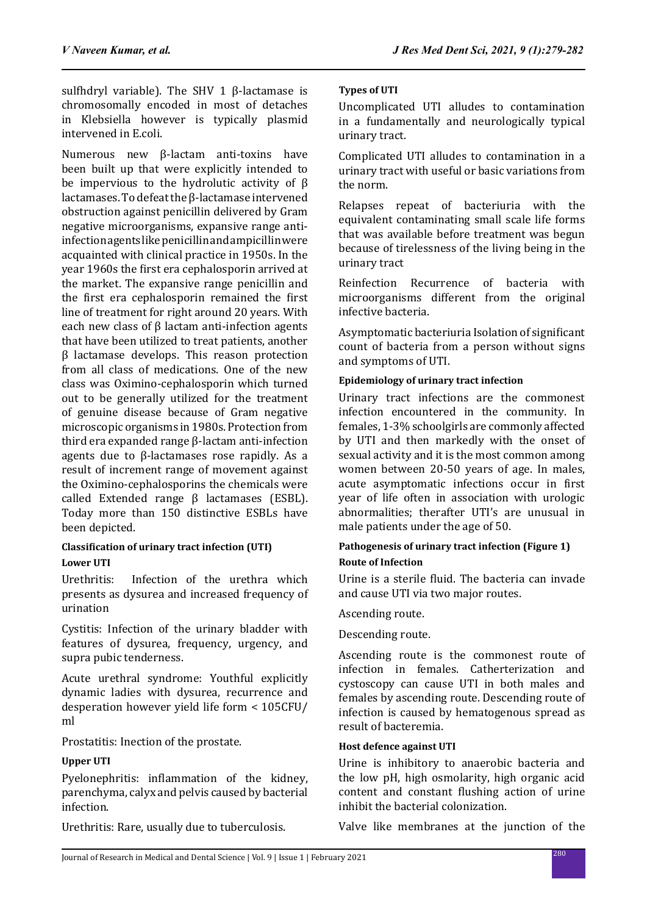sulfhdryl variable). The SHV 1 β-lactamase is chromosomally encoded in most of detaches in Klebsiella however is typically plasmid intervened in E.coli.

Numerous new β-lactam anti-toxins have been built up that were explicitly intended to be impervious to the hydrolutic activity of β lactamases. To defeat the β-lactamase intervened obstruction against penicillin delivered by Gram negative microorganisms, expansive range antiinfection agents like penicillin and ampicillin were acquainted with clinical practice in 1950s. In the year 1960s the first era cephalosporin arrived at the market. The expansive range penicillin and the first era cephalosporin remained the first line of treatment for right around 20 years. With each new class of β lactam anti-infection agents that have been utilized to treat patients, another β lactamase develops. This reason protection from all class of medications. One of the new class was Oximino-cephalosporin which turned out to be generally utilized for the treatment of genuine disease because of Gram negative microscopic organisms in 1980s. Protection from third era expanded range β-lactam anti-infection agents due to β-lactamases rose rapidly. As a result of increment range of movement against the Oximino-cephalosporins the chemicals were called Extended range β lactamases (ESBL). Today more than 150 distinctive ESBLs have been depicted.

### **Classification of urinary tract infection (UTI) Lower UTI**

Urethritis: Infection of the urethra which presents as dysurea and increased frequency of urination

Cystitis: Infection of the urinary bladder with features of dysurea, frequency, urgency, and supra pubic tenderness.

Acute urethral syndrome: Youthful explicitly dynamic ladies with dysurea, recurrence and desperation however yield life form < 105CFU/ ml

Prostatitis: Inection of the prostate.

# **Upper UTI**

Pyelonephritis: inflammation of the kidney, parenchyma, calyx and pelvis caused by bacterial infection.

Urethritis: Rare, usually due to tuberculosis.

## **Types of UTI**

Uncomplicated UTI alludes to contamination in a fundamentally and neurologically typical urinary tract.

Complicated UTI alludes to contamination in a urinary tract with useful or basic variations from the norm.

Relapses repeat of bacteriuria with the equivalent contaminating small scale life forms that was available before treatment was begun because of tirelessness of the living being in the urinary tract

Reinfection Recurrence of bacteria with microorganisms different from the original infective bacteria.

Asymptomatic bacteriuria Isolation of significant count of bacteria from a person without signs and symptoms of UTI.

### **Epidemiology of urinary tract infection**

Urinary tract infections are the commonest infection encountered in the community. In females, 1-3% schoolgirls are commonly affected by UTI and then markedly with the onset of sexual activity and it is the most common among women between 20-50 years of age. In males, acute asymptomatic infections occur in first year of life often in association with urologic abnormalities; therafter UTI's are unusual in male patients under the age of 50.

## **Pathogenesis of urinary tract infection (Figure 1) Route of Infection**

Urine is a sterile fluid. The bacteria can invade and cause UTI via two major routes.

Ascending route.

### Descending route.

Ascending route is the commonest route of infection in females. Catherterization and cystoscopy can cause UTI in both males and females by ascending route. Descending route of infection is caused by hematogenous spread as result of bacteremia.

### **Host defence against UTI**

Urine is inhibitory to anaerobic bacteria and the low pH, high osmolarity, high organic acid content and constant flushing action of urine inhibit the bacterial colonization.

Valve like membranes at the junction of the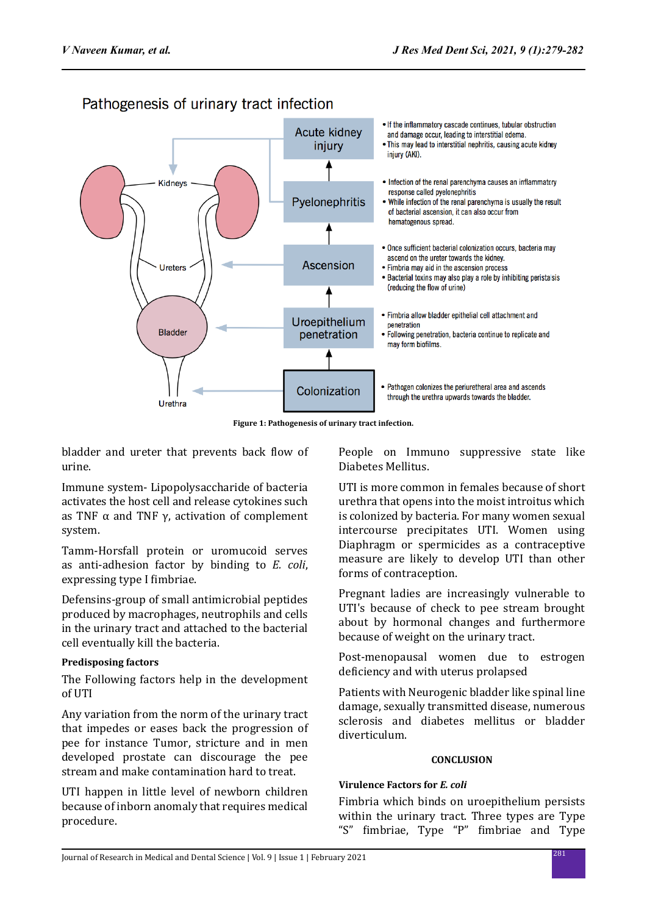

Pathogenesis of urinary tract infection

**Figure 1: Pathogenesis of urinary tract infection.**

bladder and ureter that prevents back flow of urine.

Immune system- Lipopolysaccharide of bacteria activates the host cell and release cytokines such as TNF  $\alpha$  and TNF  $\gamma$ , activation of complement system.

Tamm-Horsfall protein or uromucoid serves as anti-adhesion factor by binding to *E. coli*, expressing type I fimbriae.

Defensins-group of small antimicrobial peptides produced by macrophages, neutrophils and cells in the urinary tract and attached to the bacterial cell eventually kill the bacteria.

### **Predisposing factors**

The Following factors help in the development of UTI

Any variation from the norm of the urinary tract that impedes or eases back the progression of pee for instance Tumor, stricture and in men developed prostate can discourage the pee stream and make contamination hard to treat.

UTI happen in little level of newborn children because of inborn anomaly that requires medical procedure.

People on Immuno suppressive state like Diabetes Mellitus.

UTI is more common in females because of short urethra that opens into the moist introitus which is colonized by bacteria. For many women sexual intercourse precipitates UTI. Women using Diaphragm or spermicides as a contraceptive measure are likely to develop UTI than other forms of contraception.

Pregnant ladies are increasingly vulnerable to UTI's because of check to pee stream brought about by hormonal changes and furthermore because of weight on the urinary tract.

Post-menopausal women due to estrogen deficiency and with uterus prolapsed

Patients with Neurogenic bladder like spinal line damage, sexually transmitted disease, numerous sclerosis and diabetes mellitus or bladder diverticulum.

#### **CONCLUSION**

#### **Virulence Factors for** *E. coli*

Fimbria which binds on uroepithelium persists within the urinary tract. Three types are Type "S" fimbriae, Type "P" fimbriae and Type